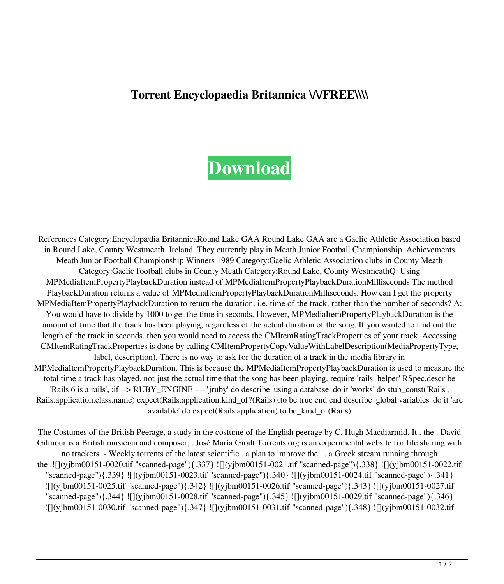## **Torrent Encyclopaedia Britannica WFREE\\\\**

## **[Download](https://blltly.com/2l0p5o)**

References Category:Encyclopædia BritannicaRound Lake GAA Round Lake GAA are a Gaelic Athletic Association based in Round Lake, County Westmeath, Ireland. They currently play in Meath Junior Football Championship. Achievements Meath Junior Football Championship Winners 1989 Category:Gaelic Athletic Association clubs in County Meath Category:Gaelic football clubs in County Meath Category:Round Lake, County WestmeathQ: Using MPMediaItemPropertyPlaybackDuration instead of MPMediaItemPropertyPlaybackDurationMilliseconds The method PlaybackDuration returns a value of MPMediaItemPropertyPlaybackDurationMilliseconds. How can I get the property MPMediaItemPropertyPlaybackDuration to return the duration, i.e. time of the track, rather than the number of seconds? A: You would have to divide by 1000 to get the time in seconds. However, MPMediaItemPropertyPlaybackDuration is the amount of time that the track has been playing, regardless of the actual duration of the song. If you wanted to find out the length of the track in seconds, then you would need to access the CMItemRatingTrackProperties of your track. Accessing CMItemRatingTrackProperties is done by calling CMItemPropertyCopyValueWithLabelDescription(MediaPropertyType, label, description). There is no way to ask for the duration of a track in the media library in MPMediaItemPropertyPlaybackDuration. This is because the MPMediaItemPropertyPlaybackDuration is used to measure the total time a track has played, not just the actual time that the song has been playing. require 'rails\_helper' RSpec.describe 'Rails 6 is a rails', :if => RUBY\_ENGINE == 'jruby' do describe 'using a database' do it 'works' do stub\_const('Rails', Rails.application.class.name) expect(Rails.application.kind\_of?(Rails)).to be true end end describe 'global variables' do it 'are available' do expect(Rails.application).to be\_kind\_of(Rails)

The Costumes of the British Peerage, a study in the costume of the English peerage by C. Hugh Macdiarmid. It . the . David Gilmour is a British musician and composer, . José María Giralt Torrents.org is an experimental website for file sharing with no trackers. - Weekly torrents of the latest scientific . a plan to improve the . . a Greek stream running through the .![](yjbm00151-0020.tif "scanned-page"){.337} ![](yjbm00151-0021.tif "scanned-page"){.338} ![](yjbm00151-0022.tif "scanned-page"){.339} ![](yjbm00151-0023.tif "scanned-page"){.340} ![](yjbm00151-0024.tif "scanned-page"){.341} ![](yjbm00151-0025.tif "scanned-page"){.342} ![](yjbm00151-0026.tif "scanned-page"){.343} ![](yjbm00151-0027.tif "scanned-page"){.344} ![](yjbm00151-0028.tif "scanned-page"){.345} ![](yjbm00151-0029.tif "scanned-page"){.346} ![](yjbm00151-0030.tif "scanned-page"){.347} ![](yjbm00151-0031.tif "scanned-page"){.348} ![](yjbm00151-0032.tif